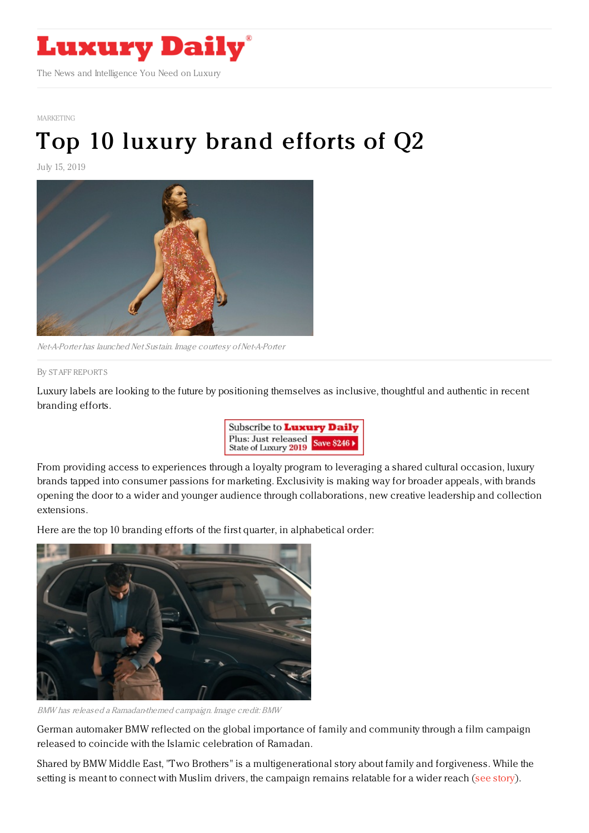

[MARKETING](https://www.luxurydaily.com/category/sectors/marketing-industry-sectors/)

## Top 10 [luxury](https://www.luxurydaily.com/top-10-luxury-brand-efforts-of-q2-3/) brand efforts of Q2

July 15, 2019



Net-A-Porter has launched Net Sustain. Image courtesy of Net-A-Porter

## By STAFF [REPORT](file:///author/staff-reports) S

Luxury labels are looking to the future by positioning themselves as inclusive, thoughtful and authentic in recent branding efforts.



From providing access to experiences through a loyalty program to leveraging a shared cultural occasion, luxury brands tapped into consumer passions for marketing. Exclusivity is making way for broader appeals, with brands opening the door to a wider and younger audience through collaborations, new creative leadership and collection extensions.

Here are the top 10 branding efforts of the first quarter, in alphabetical order:



BMW has released <sup>a</sup> Ramadan-themed campaign. Image credit: BMW

German automaker BMW reflected on the global importance of family and community through a film campaign released to coincide with the Islamic celebration of Ramadan.

Shared by BMW Middle East, "Two Brothers" is a multigenerational story about family and forgiveness. While the setting is meant to connect with Muslim drivers, the campaign remains relatable for a wider reach (see [story](https://www.luxurydaily.com/bmw-marks-muslim-holiday-with-emotive-film/)).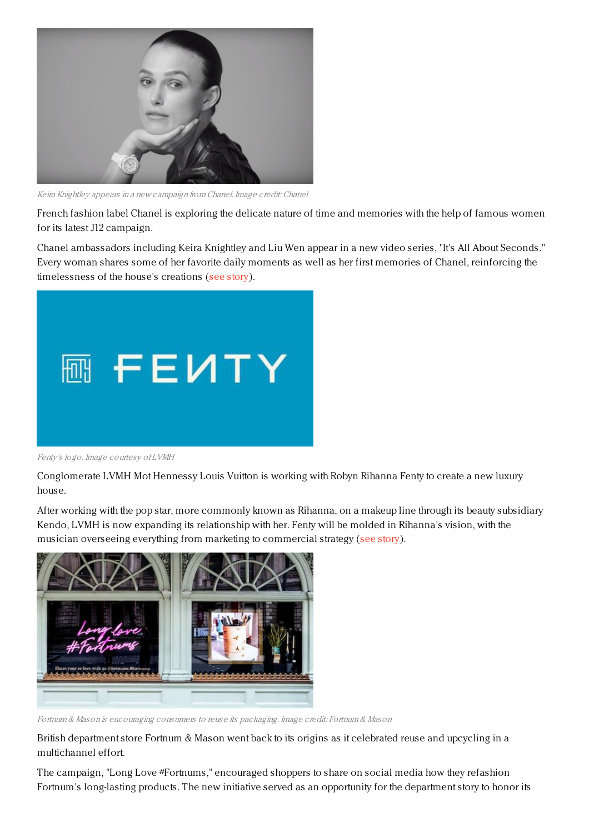

Keira Knightley appears in <sup>a</sup> new campaign from Chanel. Image credit: Chanel

French fashion label Chanel is exploring the delicate nature of time and memories with the help of famous women for its latest J12 campaign.

Chanel ambassadors including Keira Knightley and Liu Wen appear in a new video series, "It's All About Seconds." Every woman shares some of her favorite daily moments as well as her first memories of Chanel, reinforcing the timelessness of the house's creations (see [story](https://www.luxurydaily.com/chanel-delves-into-value-of-memories-in-timepiece-campaign/)).



Fenty's logo. Image courtesy of LVMH

Conglomerate LVMH Mot Hennessy Louis Vuitton is working with Robyn Rihanna Fenty to create a new luxury house.

After working with the pop star, more commonly known as Rihanna, on a makeup line through its beauty subsidiary Kendo, LVMH is now expanding its relationship with her. Fenty will be molded in Rihanna's vision, with the musician overseeing everything from marketing to commercial strategy (see [story](https://www.luxurydaily.com/lvmhs-fenty-to-debut-this-spring/)).



Fortnum & Mason is encouraging consumers to reuse its packaging. Image credit: Fortnum & Mason

British department store Fortnum & Mason went back to its origins as it celebrated reuse and upcycling in a multichannel effort.

The campaign, "Long Love #Fortnums," encouraged shoppers to share on social media how they refashion Fortnum's long-lasting products. The new initiative served as an opportunity for the department story to honor its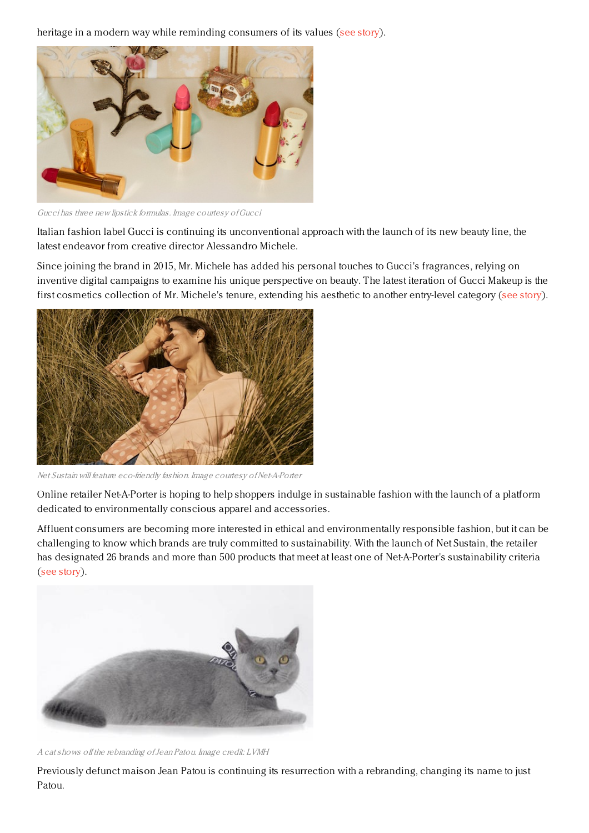heritage in a modern way while reminding consumers of its values (see [story](https://www.luxurydaily.com/fortnum-mason-spotlights-shopper-resourcefulness-via-social-media/)).



Gucci has three new lipstick formulas. Image courtesy ofGucci

Italian fashion label Gucci is continuing its unconventional approach with the launch of its new beauty line, the latest endeavor from creative director Alessandro Michele.

Since joining the brand in 2015, Mr. Michele has added his personal touches to Gucci's fragrances, relying on inventive digital campaigns to examine his unique perspective on beauty. The latest iteration of Gucci Makeup is the first cosmetics collection of Mr. Michele's tenure, extending his aesthetic to another entry-level category (see [story](https://www.luxurydaily.com/gucci-makeup-celebrates-rather-than-hides-imperfections/)).



Net Sustain will feature eco-friendly fashion. Image courtesy ofNet-A-Porter

Online retailer Net-A-Porter is hoping to help shoppers indulge in sustainable fashion with the launch of a platform dedicated to environmentally conscious apparel and accessories.

Affluent consumers are becoming more interested in ethical and environmentally responsible fashion, but it can be challenging to know which brands are truly committed to sustainability. With the launch of Net Sustain, the retailer has designated 26 brands and more than 500 products that meet at least one of Net-A-Porter's sustainability criteria (see [story](https://www.luxurydaily.com/net-a-porter-debuts-sustainability-vertical-as-demand-for-eco-conscious-luxury-grows/)).



A cat shows of the rebranding ofJean Patou. Image credit: LVMH

Previously defunct maison Jean Patou is continuing its resurrection with a rebranding, changing its name to just Patou.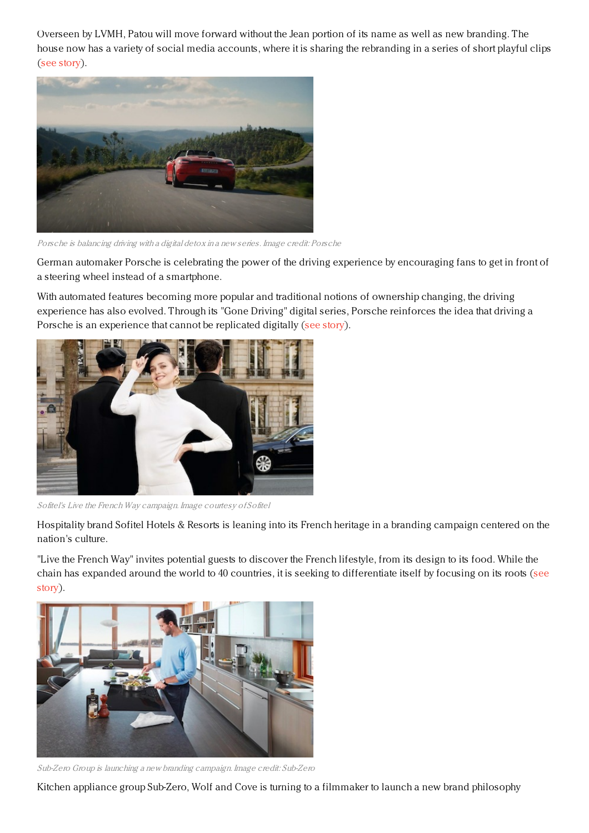Overseen by LVMH, Patou will move forward without the Jean portion of its name as well as new branding. The house now has a variety of social media accounts, where it is sharing the rebranding in a series of short playful clips (see [story](https://www.luxurydaily.com/jean-patou-drops-portion-of-name-in-rebranding/)).



Porsche is balancing driving with <sup>a</sup> digital detox in <sup>a</sup> new series. Image credit: Porsche

German automaker Porsche is celebrating the power of the driving experience by encouraging fans to get in front of a steering wheel instead of a smartphone.

With automated features becoming more popular and traditional notions of ownership changing, the driving experience has also evolved. Through its "Gone Driving" digital series, Porsche reinforces the idea that driving a Porsche is an experience that cannot be replicated digitally (see [story](https://www.luxurydaily.com/porsche-pushes-consumers-to-disconnect-through-driving/)).



Sofitel's Live the French Way campaign. Image courtesy of Sofitel

Hospitality brand Sofitel Hotels & Resorts is leaning into its French heritage in a branding campaign centered on the nation's culture.

"Live the French Way" invites potential guests to discover the French lifestyle, from its design to its food. While the chain has expanded around the world to 40 countries, it is seeking to [differentiate](https://www.luxurydaily.com/sofitel-aims-to-fortify-french-luxury-positioning-in-branding-campaign/) itself by focusing on its roots (see story).



Sub-Zero Group is launching <sup>a</sup> new branding campaign. Image credit: Sub-Zero

Kitchen appliance group Sub-Zero, Wolf and Cove is turning to a filmmaker to launch a new brand philosophy